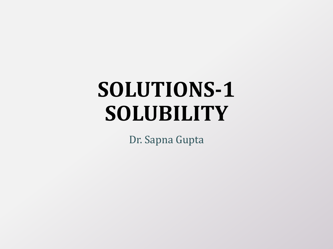# **SOLUTIONS-1 SOLUBILITY**

Dr. Sapna Gupta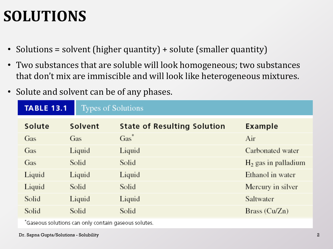#### **SOLUTIONS**

- Solutions = solvent (higher quantity) + solute (smaller quantity)
- Two substances that are soluble will look homogeneous; two substances that don't mix are immiscible and will look like heterogeneous mixtures.
- Solute and solvent can be of any phases.

| <b>TABLE 13.1</b><br><b>Types of Solutions</b> |         |                                    |                       |
|------------------------------------------------|---------|------------------------------------|-----------------------|
| Solute                                         | Solvent | <b>State of Resulting Solution</b> | <b>Example</b>        |
| Gas                                            | Gas     | $\operatorname{Gas}^*$             | Air                   |
| Gas                                            | Liquid  | Liquid                             | Carbonated water      |
| Gas                                            | Solid   | Solid                              | $H2$ gas in palladium |
| Liquid                                         | Liquid  | Liquid                             | Ethanol in water      |
| Liquid                                         | Solid   | Solid                              | Mercury in silver     |
| Solid                                          | Liquid  | Liquid                             | Saltwater             |
| Solid                                          | Solid   | Solid                              | Brass $(Cu/Zn)$       |

\*Gaseous solutions can only contain gaseous solutes.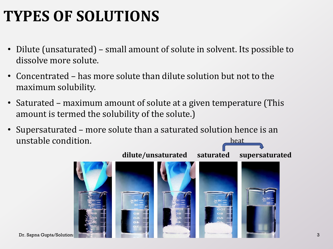# **TYPES OF SOLUTIONS**

- Dilute (unsaturated) small amount of solute in solvent. Its possible to dissolve more solute.
- Concentrated has more solute than dilute solution but not to the maximum solubility.
- Saturated maximum amount of solute at a given temperature (This amount is termed the solubility of the solute.)
- Supersaturated more solute than a saturated solution hence is an unstable condition. heat

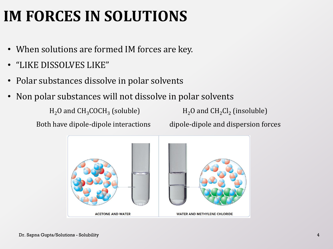# **IM FORCES IN SOLUTIONS**

- When solutions are formed IM forces are key.
- "LIKE DISSOLVES LIKE"
- Polar substances dissolve in polar solvents
- Non polar substances will not dissolve in polar solvents

 $H<sub>2</sub>O$  and  $CH<sub>3</sub>COCH<sub>3</sub>$  (soluble)

(soluble)  $H_2O$  and  $CH_2Cl_2$  (insoluble)

Both have dipole-dipole interactions dipole-dipole and dispersion forces

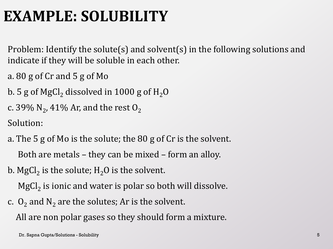#### **EXAMPLE: SOLUBILITY**

Problem: Identify the solute(s) and solvent(s) in the following solutions and indicate if they will be soluble in each other.

- a. 80 g of Cr and 5 g of Mo
- b. 5 g of MgCl<sub>2</sub> dissolved in 1000 g of  $H_2O$
- c. 39%  $\rm N_2$ , 41% Ar, and the rest  $\rm O_2$

Solution:

- a. The 5 g of Mo is the solute; the 80 g of Cr is the solvent. Both are metals – they can be mixed – form an alloy.
- b. MgCl $_2$  is the solute; H $_2$ O is the solvent.

 $\mathrm{MgCl}_{2}$  is ionic and water is polar so both will dissolve.

c.  $O_2$  and  $N_2$  are the solutes; Ar is the solvent.

All are non polar gases so they should form a mixture.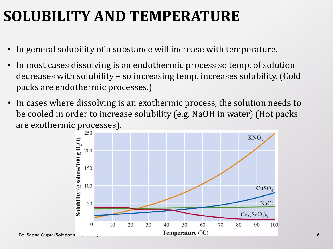#### **SOLUBILITY AND TEMPERATURE**

- In general solubility of a substance will increase with temperature.
- In most cases dissolving is an endothermic process so temp. of solution decreases with solubility – so increasing temp. increases solubility. (Cold packs are endothermic processes.)
- In cases where dissolving is an exothermic process, the solution needs to be cooled in order to increase solubility (e.g. NaOH in water) (Hot packs are exothermic processes).

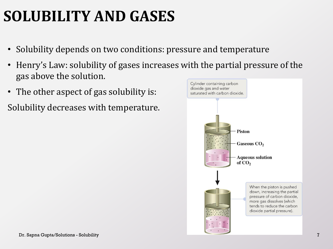# **SOLUBILITY AND GASES**

- Solubility depends on two conditions: pressure and temperature
- Henry's Law: solubility of gases increases with the partial pressure of the gas above the solution.
- The other aspect of gas solubility is:
- Solubility decreases with temperature.